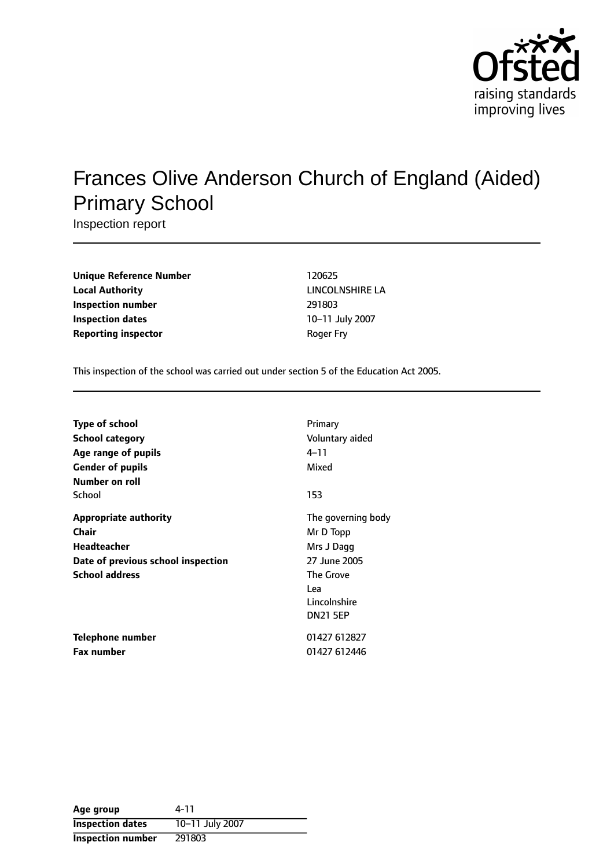

# Frances Olive Anderson Church of England (Aided) Primary School

Inspection report

| <b>Unique Reference Number</b> | 120625          |
|--------------------------------|-----------------|
| <b>Local Authority</b>         | <b>LINCOLNS</b> |
| Inspection number              | 291803          |
| Inspection dates               | $10 - 11$ July  |
| <b>Reporting inspector</b>     | Roger Fry       |

**Unique Reference Number** 120625 **LINCOLNSHIRE LA Inspection number** 291803 **10-11 July 2007** 

This inspection of the school was carried out under section 5 of the Education Act 2005.

| <b>Type of school</b>              | Primary            |
|------------------------------------|--------------------|
| <b>School category</b>             | Voluntary aided    |
| Age range of pupils                | $4 - 11$           |
| <b>Gender of pupils</b>            | Mixed              |
| Number on roll                     |                    |
| School                             | 153                |
| <b>Appropriate authority</b>       | The governing body |
| Chair                              | Mr D Topp          |
| <b>Headteacher</b>                 | Mrs J Dagg         |
| Date of previous school inspection | 27 June 2005       |
| <b>School address</b>              | The Grove          |
|                                    | Lea                |
|                                    | Lincolnshire       |
|                                    | <b>DN21 5EP</b>    |
| Telephone number                   | 01427 612827       |
| <b>Fax number</b>                  | 01427 612446       |

| Age group                | 4-11            |
|--------------------------|-----------------|
| <b>Inspection dates</b>  | 10-11 July 2007 |
| <b>Inspection number</b> | 291803          |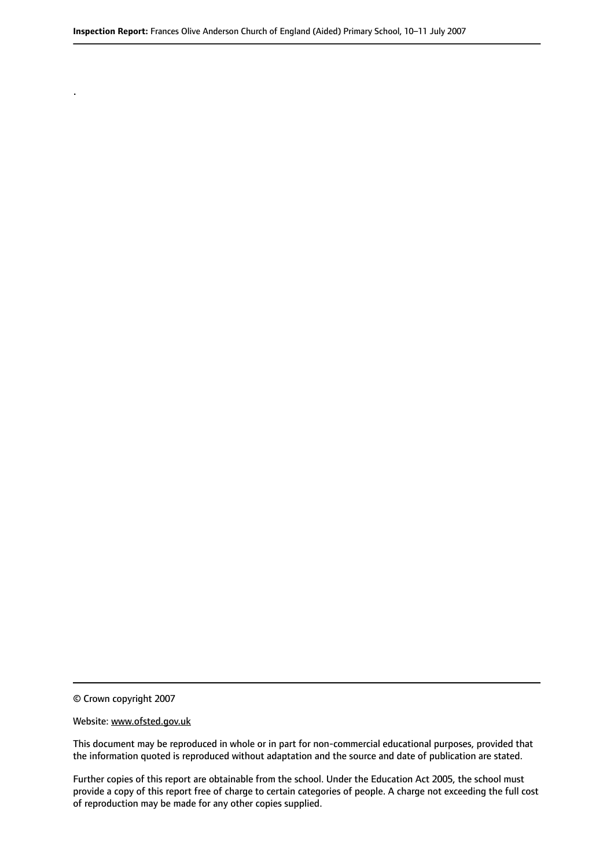© Crown copyright 2007

.

#### Website: www.ofsted.gov.uk

This document may be reproduced in whole or in part for non-commercial educational purposes, provided that the information quoted is reproduced without adaptation and the source and date of publication are stated.

Further copies of this report are obtainable from the school. Under the Education Act 2005, the school must provide a copy of this report free of charge to certain categories of people. A charge not exceeding the full cost of reproduction may be made for any other copies supplied.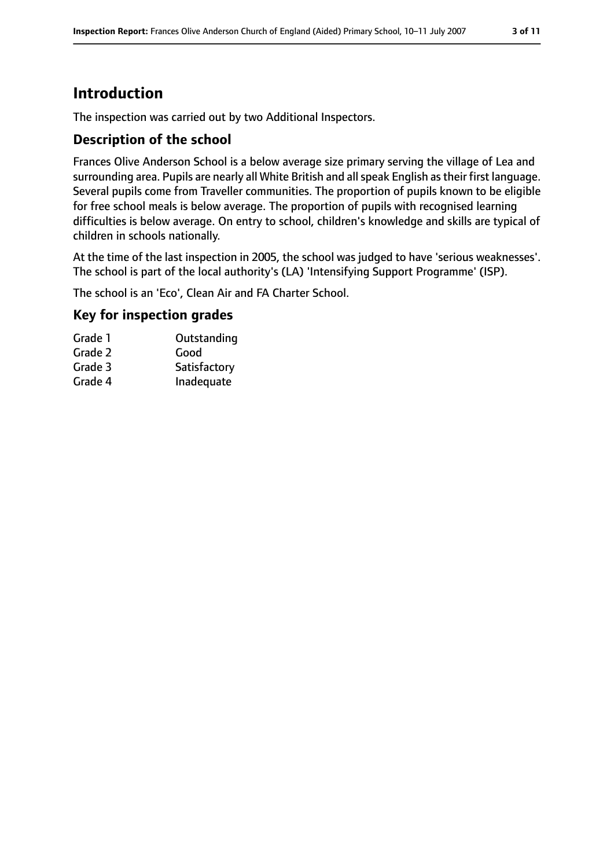## **Introduction**

The inspection was carried out by two Additional Inspectors.

#### **Description of the school**

Frances Olive Anderson School is a below average size primary serving the village of Lea and surrounding area. Pupils are nearly all White British and all speak English as their first language. Several pupils come from Traveller communities. The proportion of pupils known to be eligible for free school meals is below average. The proportion of pupils with recognised learning difficulties is below average. On entry to school, children's knowledge and skills are typical of children in schools nationally.

At the time of the last inspection in 2005, the school was judged to have 'serious weaknesses'. The school is part of the local authority's (LA) 'Intensifying Support Programme' (ISP).

The school is an 'Eco', Clean Air and FA Charter School.

#### **Key for inspection grades**

| Grade 1 | Outstanding |
|---------|-------------|
| Grade 2 | Good        |

| Grade 3 | Satisfactory |
|---------|--------------|
| Grade 4 | Inadequate   |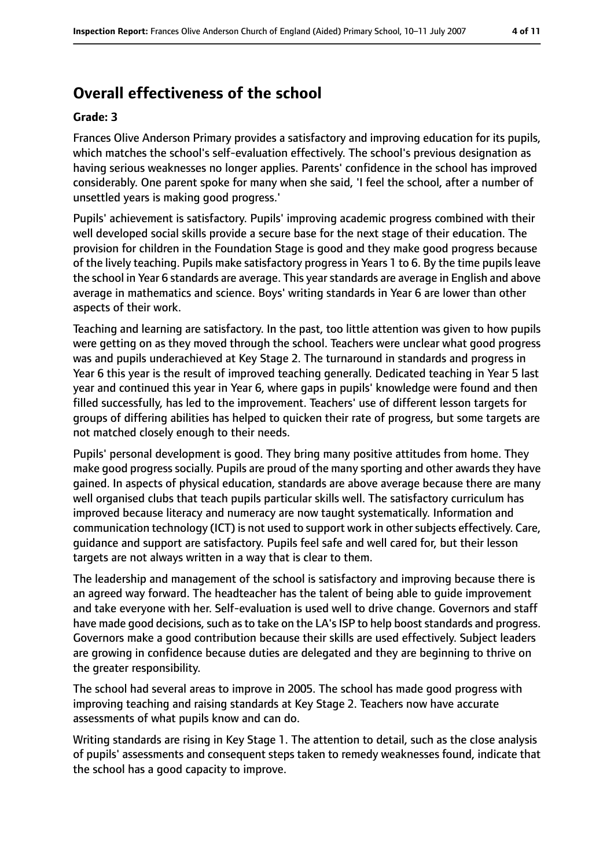# **Overall effectiveness of the school**

#### **Grade: 3**

Frances Olive Anderson Primary provides a satisfactory and improving education for its pupils, which matches the school's self-evaluation effectively. The school's previous designation as having serious weaknesses no longer applies. Parents' confidence in the school has improved considerably. One parent spoke for many when she said, 'I feel the school, after a number of unsettled years is making good progress.'

Pupils' achievement is satisfactory. Pupils' improving academic progress combined with their well developed social skills provide a secure base for the next stage of their education. The provision for children in the Foundation Stage is good and they make good progress because of the lively teaching. Pupils make satisfactory progress in Years 1 to 6. By the time pupils leave the school in Year 6 standards are average. This year standards are average in English and above average in mathematics and science. Boys' writing standards in Year 6 are lower than other aspects of their work.

Teaching and learning are satisfactory. In the past, too little attention was given to how pupils were getting on as they moved through the school. Teachers were unclear what good progress was and pupils underachieved at Key Stage 2. The turnaround in standards and progress in Year 6 this year is the result of improved teaching generally. Dedicated teaching in Year 5 last year and continued this year in Year 6, where gaps in pupils' knowledge were found and then filled successfully, has led to the improvement. Teachers' use of different lesson targets for groups of differing abilities has helped to quicken their rate of progress, but some targets are not matched closely enough to their needs.

Pupils' personal development is good. They bring many positive attitudes from home. They make good progress socially. Pupils are proud of the many sporting and other awards they have gained. In aspects of physical education, standards are above average because there are many well organised clubs that teach pupils particular skills well. The satisfactory curriculum has improved because literacy and numeracy are now taught systematically. Information and communication technology (ICT) is not used to support work in other subjects effectively. Care, guidance and support are satisfactory. Pupils feel safe and well cared for, but their lesson targets are not always written in a way that is clear to them.

The leadership and management of the school is satisfactory and improving because there is an agreed way forward. The headteacher has the talent of being able to guide improvement and take everyone with her. Self-evaluation is used well to drive change. Governors and staff have made good decisions, such as to take on the LA's ISP to help boost standards and progress. Governors make a good contribution because their skills are used effectively. Subject leaders are growing in confidence because duties are delegated and they are beginning to thrive on the greater responsibility.

The school had several areas to improve in 2005. The school has made good progress with improving teaching and raising standards at Key Stage 2. Teachers now have accurate assessments of what pupils know and can do.

Writing standards are rising in Key Stage 1. The attention to detail, such as the close analysis of pupils' assessments and consequent steps taken to remedy weaknesses found, indicate that the school has a good capacity to improve.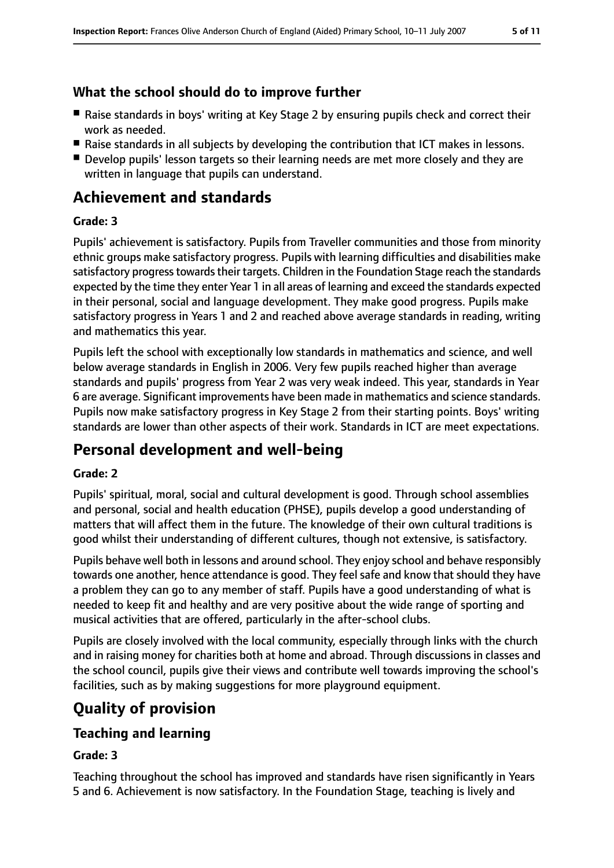### **What the school should do to improve further**

- Raise standards in boys' writing at Key Stage 2 by ensuring pupils check and correct their work as needed.
- Raise standards in all subjects by developing the contribution that ICT makes in lessons.
- Develop pupils' lesson targets so their learning needs are met more closely and they are written in language that pupils can understand.

### **Achievement and standards**

#### **Grade: 3**

Pupils' achievement is satisfactory. Pupils from Traveller communities and those from minority ethnic groups make satisfactory progress. Pupils with learning difficulties and disabilities make satisfactory progress towards their targets. Children in the Foundation Stage reach the standards expected by the time they enter Year 1 in all areas of learning and exceed the standards expected in their personal, social and language development. They make good progress. Pupils make satisfactory progress in Years 1 and 2 and reached above average standards in reading, writing and mathematics this year.

Pupils left the school with exceptionally low standards in mathematics and science, and well below average standards in English in 2006. Very few pupils reached higher than average standards and pupils' progress from Year 2 was very weak indeed. This year, standards in Year 6 are average. Significant improvements have been made in mathematics and science standards. Pupils now make satisfactory progress in Key Stage 2 from their starting points. Boys' writing standards are lower than other aspects of their work. Standards in ICT are meet expectations.

### **Personal development and well-being**

#### **Grade: 2**

Pupils' spiritual, moral, social and cultural development is good. Through school assemblies and personal, social and health education (PHSE), pupils develop a good understanding of matters that will affect them in the future. The knowledge of their own cultural traditions is good whilst their understanding of different cultures, though not extensive, is satisfactory.

Pupils behave well both in lessons and around school. They enjoy school and behave responsibly towards one another, hence attendance is good. They feel safe and know that should they have a problem they can go to any member of staff. Pupils have a good understanding of what is needed to keep fit and healthy and are very positive about the wide range of sporting and musical activities that are offered, particularly in the after-school clubs.

Pupils are closely involved with the local community, especially through links with the church and in raising money for charities both at home and abroad. Through discussions in classes and the school council, pupils give their views and contribute well towards improving the school's facilities, such as by making suggestions for more playground equipment.

# **Quality of provision**

#### **Teaching and learning**

#### **Grade: 3**

Teaching throughout the school has improved and standards have risen significantly in Years 5 and 6. Achievement is now satisfactory. In the Foundation Stage, teaching is lively and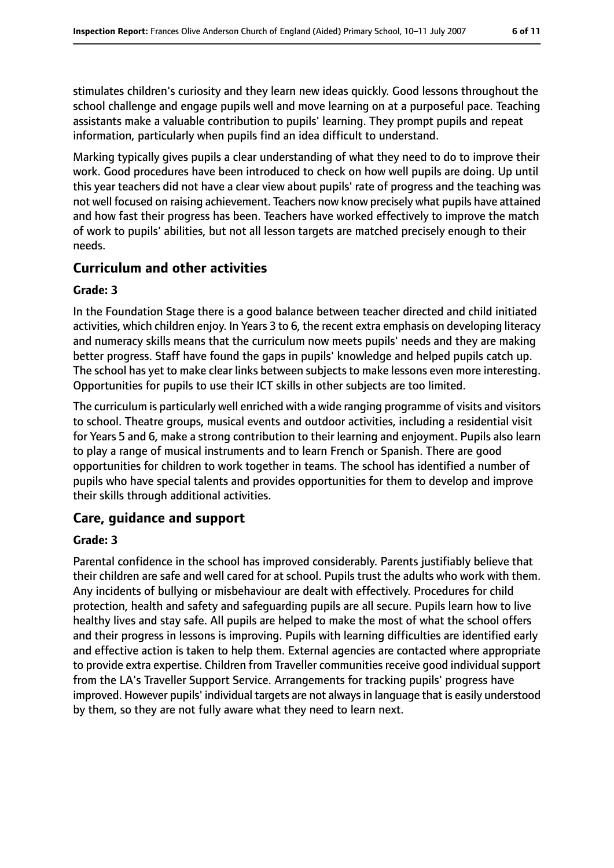stimulates children's curiosity and they learn new ideas quickly. Good lessons throughout the school challenge and engage pupils well and move learning on at a purposeful pace. Teaching assistants make a valuable contribution to pupils' learning. They prompt pupils and repeat information, particularly when pupils find an idea difficult to understand.

Marking typically gives pupils a clear understanding of what they need to do to improve their work. Good procedures have been introduced to check on how well pupils are doing. Up until this year teachers did not have a clear view about pupils' rate of progress and the teaching was not well focused on raising achievement. Teachers now know precisely what pupils have attained and how fast their progress has been. Teachers have worked effectively to improve the match of work to pupils' abilities, but not all lesson targets are matched precisely enough to their needs.

#### **Curriculum and other activities**

#### **Grade: 3**

In the Foundation Stage there is a good balance between teacher directed and child initiated activities, which children enjoy. In Years 3 to 6, the recent extra emphasis on developing literacy and numeracy skills means that the curriculum now meets pupils' needs and they are making better progress. Staff have found the gaps in pupils' knowledge and helped pupils catch up. The school has yet to make clear links between subjects to make lessons even more interesting. Opportunities for pupils to use their ICT skills in other subjects are too limited.

The curriculum is particularly well enriched with a wide ranging programme of visits and visitors to school. Theatre groups, musical events and outdoor activities, including a residential visit for Years 5 and 6, make a strong contribution to their learning and enjoyment. Pupils also learn to play a range of musical instruments and to learn French or Spanish. There are good opportunities for children to work together in teams. The school has identified a number of pupils who have special talents and provides opportunities for them to develop and improve their skills through additional activities.

#### **Care, guidance and support**

#### **Grade: 3**

Parental confidence in the school has improved considerably. Parents justifiably believe that their children are safe and well cared for at school. Pupils trust the adults who work with them. Any incidents of bullying or misbehaviour are dealt with effectively. Procedures for child protection, health and safety and safeguarding pupils are all secure. Pupils learn how to live healthy lives and stay safe. All pupils are helped to make the most of what the school offers and their progress in lessons is improving. Pupils with learning difficulties are identified early and effective action is taken to help them. External agencies are contacted where appropriate to provide extra expertise. Children from Traveller communities receive good individual support from the LA's Traveller Support Service. Arrangements for tracking pupils' progress have improved. However pupils' individual targets are not always in language that is easily understood by them, so they are not fully aware what they need to learn next.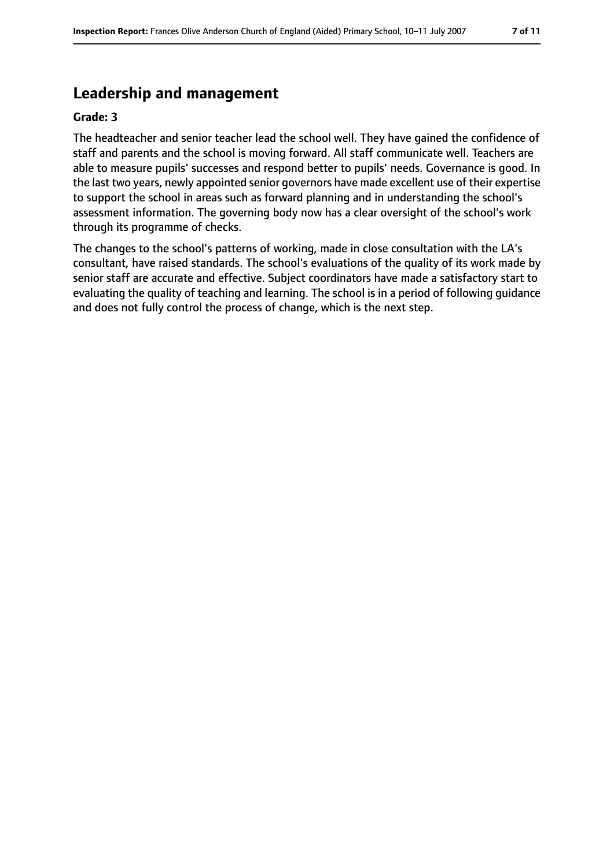### **Leadership and management**

#### **Grade: 3**

The headteacher and senior teacher lead the school well. They have gained the confidence of staff and parents and the school is moving forward. All staff communicate well. Teachers are able to measure pupils' successes and respond better to pupils' needs. Governance is good. In the last two years, newly appointed senior governors have made excellent use of their expertise to support the school in areas such as forward planning and in understanding the school's assessment information. The governing body now has a clear oversight of the school's work through its programme of checks.

The changes to the school's patterns of working, made in close consultation with the LA's consultant, have raised standards. The school's evaluations of the quality of its work made by senior staff are accurate and effective. Subject coordinators have made a satisfactory start to evaluating the quality of teaching and learning. The school is in a period of following guidance and does not fully control the process of change, which is the next step.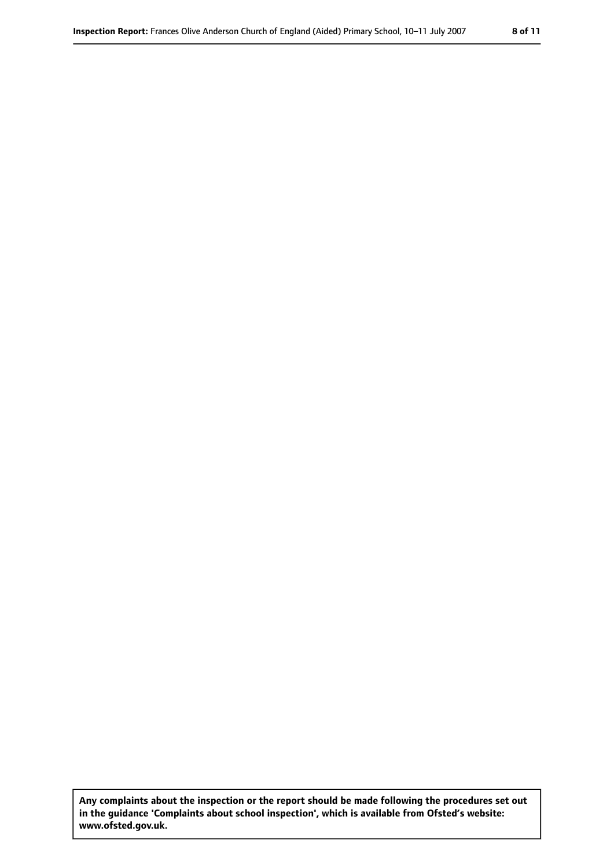**Any complaints about the inspection or the report should be made following the procedures set out in the guidance 'Complaints about school inspection', which is available from Ofsted's website: www.ofsted.gov.uk.**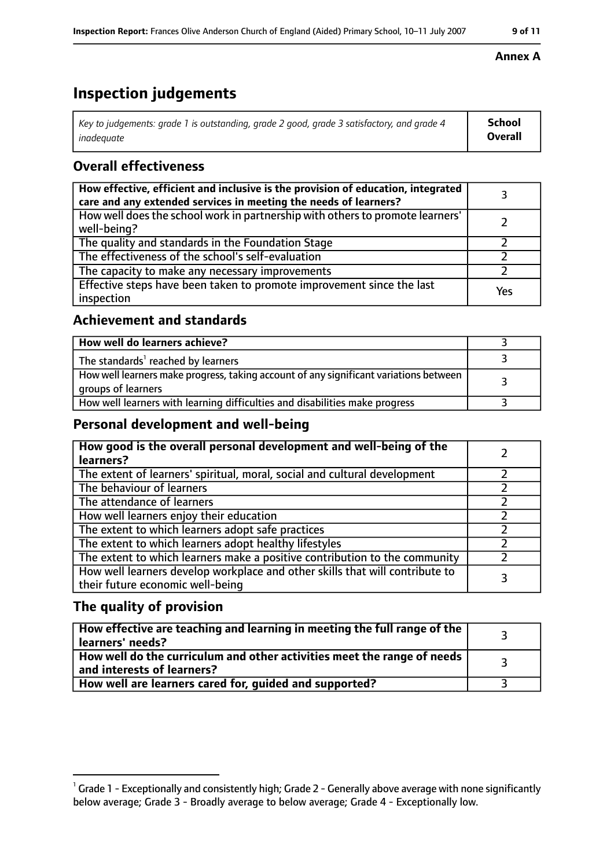# **Inspection judgements**

| $\mid$ Key to judgements: grade 1 is outstanding, grade 2 good, grade 3 satisfactory, and grade 4 | School         |
|---------------------------------------------------------------------------------------------------|----------------|
| inadeauate                                                                                        | <b>Overall</b> |

### **Overall effectiveness**

| How effective, efficient and inclusive is the provision of education, integrated<br>care and any extended services in meeting the needs of learners? |     |
|------------------------------------------------------------------------------------------------------------------------------------------------------|-----|
| How well does the school work in partnership with others to promote learners'<br>well-being?                                                         |     |
| The quality and standards in the Foundation Stage                                                                                                    |     |
| The effectiveness of the school's self-evaluation                                                                                                    |     |
| The capacity to make any necessary improvements                                                                                                      |     |
| Effective steps have been taken to promote improvement since the last<br>inspection                                                                  | Yes |

### **Achievement and standards**

| How well do learners achieve?                                                                               |  |
|-------------------------------------------------------------------------------------------------------------|--|
| The standards <sup>1</sup> reached by learners                                                              |  |
| How well learners make progress, taking account of any significant variations between<br>groups of learners |  |
| How well learners with learning difficulties and disabilities make progress                                 |  |

#### **Personal development and well-being**

| How good is the overall personal development and well-being of the<br>learners?                                  |  |
|------------------------------------------------------------------------------------------------------------------|--|
| The extent of learners' spiritual, moral, social and cultural development                                        |  |
| The behaviour of learners                                                                                        |  |
| The attendance of learners                                                                                       |  |
| How well learners enjoy their education                                                                          |  |
| The extent to which learners adopt safe practices                                                                |  |
| The extent to which learners adopt healthy lifestyles                                                            |  |
| The extent to which learners make a positive contribution to the community                                       |  |
| How well learners develop workplace and other skills that will contribute to<br>their future economic well-being |  |

### **The quality of provision**

| How effective are teaching and learning in meeting the full range of the<br>learners' needs?          |  |
|-------------------------------------------------------------------------------------------------------|--|
| How well do the curriculum and other activities meet the range of needs<br>and interests of learners? |  |
| How well are learners cared for, guided and supported?                                                |  |

#### **Annex A**

 $^1$  Grade 1 - Exceptionally and consistently high; Grade 2 - Generally above average with none significantly below average; Grade 3 - Broadly average to below average; Grade 4 - Exceptionally low.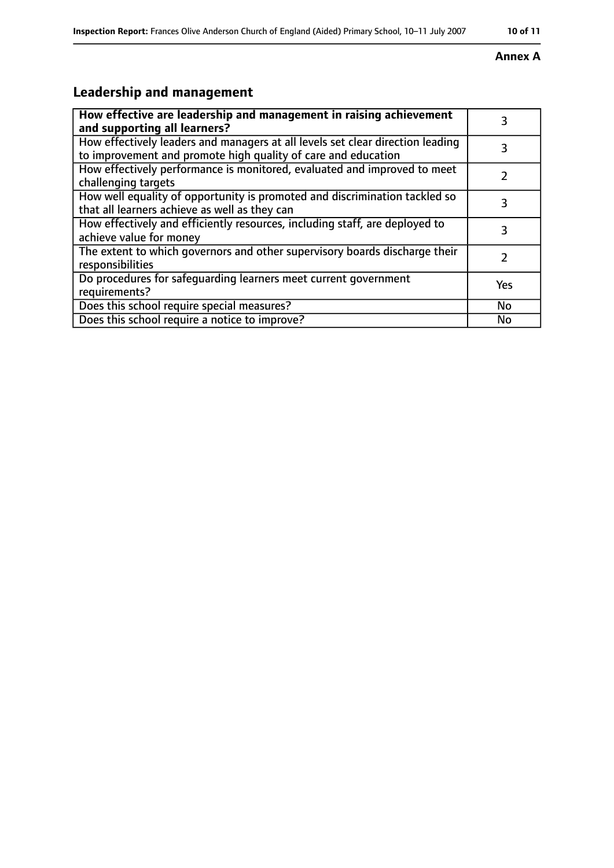#### **Annex A**

# **Leadership and management**

| How effective are leadership and management in raising achievement<br>and supporting all learners?                                              | 3         |
|-------------------------------------------------------------------------------------------------------------------------------------------------|-----------|
| How effectively leaders and managers at all levels set clear direction leading<br>to improvement and promote high quality of care and education |           |
| How effectively performance is monitored, evaluated and improved to meet<br>challenging targets                                                 |           |
| How well equality of opportunity is promoted and discrimination tackled so<br>that all learners achieve as well as they can                     | 3         |
| How effectively and efficiently resources, including staff, are deployed to<br>achieve value for money                                          | 3         |
| The extent to which governors and other supervisory boards discharge their<br>responsibilities                                                  |           |
| Do procedures for safequarding learners meet current government<br>requirements?                                                                | Yes       |
| Does this school require special measures?                                                                                                      | <b>No</b> |
| Does this school require a notice to improve?                                                                                                   | No        |